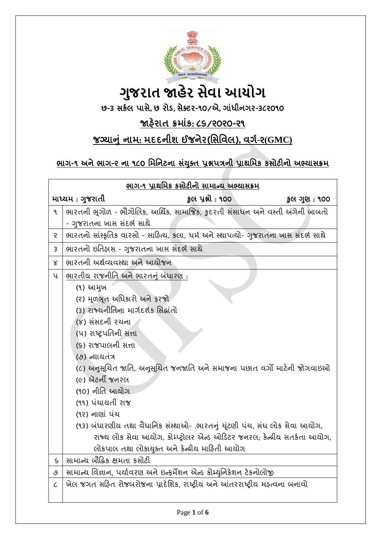

# **ગુજરાત જાહેર સેવા આયોગ**

છ-૩ સર્કલ પાસે**,** છ રોડ**,** સેક્ટર-૧૦/એ**,** ગાધાં ીનગર-૩૮૨૦૧૦

## જાહેરાત ક્રમાંક: ૮૬/૨૦૨૦-૨૧

## <u>જગ્યાનું નામ: મદદનીશ ઈજનેર(સિવિલ), વર્ગ-૨(GMC)</u>

## ભાગ-૧ અને ભાગ-૨ ના ૧૮૦ મિનિટના સંયુક્ત પ્રશ્નપત્રની પ્રાથમિક કસોટીનો અભ્યાસક્રમ

| ભાગ-૧ પ્રાથમિક કસોટીનો સામાન્ય અભ્યાસક્રમ |                                                                                      |                   |              |  |  |
|-------------------------------------------|--------------------------------------------------------------------------------------|-------------------|--------------|--|--|
| માધ્યમ : ગુજરાતી                          |                                                                                      | કુલ પ્રશ્નો : ૧૦૦ | કુલ ગુણ: ૧૦૦ |  |  |
| ۹                                         | ભારતની ભૂગોળ - ભૌગોલિક, આર્થિક, સામાજિક, કુદરતી સંસાધન અને વસ્તી અંગેની બાબતો        |                   |              |  |  |
|                                           | - ગુજરાતના ખાસ સંદર્ભ સાથે                                                           |                   |              |  |  |
| 5                                         | ભારતનો સાંસ્કૃતિક વારસો - સાફિત્ય, કલા, ધર્મ અને સ્થાપત્યો- ગુજરાતના ખાસ સંદર્ભ સાથે |                   |              |  |  |
| 3                                         | ભારતનો ઇતિહ્રાસ - ગુજરાતના ખાસ સંદર્ભ સાથે                                           |                   |              |  |  |
| Χ                                         | ભારતની અર્થવ્યવસ્થા અને આયોજન                                                        |                   |              |  |  |
| ૫                                         | ભારતીય રાજનીતિ અને ભારતનું બંધારણ :                                                  |                   |              |  |  |
|                                           | (૧) આમુખ                                                                             |                   |              |  |  |
|                                           | (૨) મૂળભૂત અધિકારો અને ફરજો                                                          |                   |              |  |  |
|                                           | (3) રાજ્યનીતિના માર્ગદર્શક સિદ્ધાંતો                                                 |                   |              |  |  |
|                                           | (૪) સંસદની રચના                                                                      |                   |              |  |  |
|                                           | (૫) રાષ્ટ્રપતિની સત્તા                                                               |                   |              |  |  |
|                                           | (s) રાજપાલની સત્તા                                                                   |                   |              |  |  |
|                                           | (૭) ન્યાયતંત્ર                                                                       |                   |              |  |  |
|                                           | (૮) અનુસૂચિત જાતિ, અનુસૂચિત જનજાતિ અને સમાજના પછાત વર્ગો માટેની જોગવાઇઓ              |                   |              |  |  |
|                                           | (૯) એટર્ની જનરલ                                                                      |                   |              |  |  |
|                                           | (૧૦) નીતિ આયોગ                                                                       |                   |              |  |  |
|                                           | (૧૧) પંચાયતી રાજ                                                                     |                   |              |  |  |
|                                           | (૧૨) નાણાં પંચ                                                                       |                   |              |  |  |
|                                           | (૧૩) બંધારણીય તથા વૈધાનિક સંસ્થાઓ- .ભારતનું ચૂંટણી પંચ, સંઘ લોક સેવા આયોગ,           |                   |              |  |  |
|                                           | રાજ્ય લોક સેવા આયોગ, કોમ્પ્ટ્રોલર એન્ડ ઓડિટર જનરલ, કેન્ન્રીય સતર્કતા આયોગ,           |                   |              |  |  |
|                                           | લોકપાલ તથા લોકાયુક્ત અને કેન્દ્રીય માહિતી આયોગ                                       |                   |              |  |  |
| S                                         | સામાન્ય બૌદ્ધિક ક્ષમતા કસોટી                                                         |                   |              |  |  |
| ও                                         | સામાન્ય વિજ્ઞાન, પર્યાવરણ અને ઇન્ફર્મેશન એન્ડ કોમ્યુનિકેશન ટેકનોલોજી                 |                   |              |  |  |
| $\mathcal{C}_{\mathcal{C}}$               | ખેલ જગત સહિત રોજબરોજના પ્રાદેશિક, રાષ્ટ્રીય અને આંતરરાષ્ટ્રીય મહ્ત્વના બનાવો         |                   |              |  |  |
|                                           |                                                                                      |                   |              |  |  |
|                                           |                                                                                      |                   |              |  |  |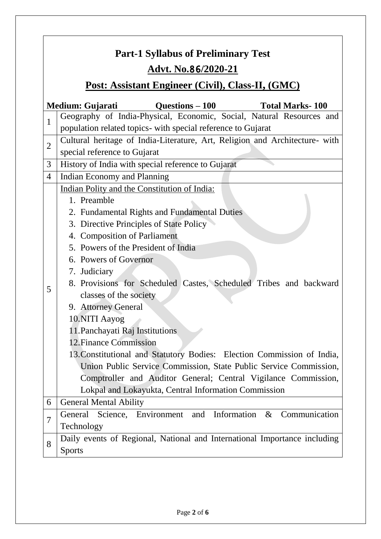# **Part-1 Syllabus of Preliminary Test Advt. No.**86**/2020-21**

## **Post: Assistant Engineer (Civil), Class-II, (GMC)**

|                | <b>Ouestions – 100</b><br><b>Total Marks-100</b><br>Medium: Gujarati        |  |  |  |  |
|----------------|-----------------------------------------------------------------------------|--|--|--|--|
| $\mathbf{1}$   | Geography of India-Physical, Economic, Social, Natural Resources and        |  |  |  |  |
|                | population related topics- with special reference to Gujarat                |  |  |  |  |
| $\overline{2}$ | Cultural heritage of India-Literature, Art, Religion and Architecture- with |  |  |  |  |
|                | special reference to Gujarat                                                |  |  |  |  |
| 3              | History of India with special reference to Gujarat                          |  |  |  |  |
| $\overline{4}$ | Indian Economy and Planning                                                 |  |  |  |  |
|                | Indian Polity and the Constitution of India:                                |  |  |  |  |
|                | 1. Preamble                                                                 |  |  |  |  |
|                | 2. Fundamental Rights and Fundamental Duties                                |  |  |  |  |
|                | 3. Directive Principles of State Policy                                     |  |  |  |  |
|                | 4. Composition of Parliament                                                |  |  |  |  |
|                | 5. Powers of the President of India                                         |  |  |  |  |
|                | 6. Powers of Governor                                                       |  |  |  |  |
|                | 7. Judiciary                                                                |  |  |  |  |
|                | 8. Provisions for Scheduled Castes, Scheduled Tribes and backward           |  |  |  |  |
| 5              | classes of the society                                                      |  |  |  |  |
|                | 9. Attorney General                                                         |  |  |  |  |
|                | 10.NITI Aayog                                                               |  |  |  |  |
|                | 11. Panchayati Raj Institutions                                             |  |  |  |  |
|                | 12. Finance Commission                                                      |  |  |  |  |
|                | 13. Constitutional and Statutory Bodies: Election Commission of India,      |  |  |  |  |
|                | Union Public Service Commission, State Public Service Commission,           |  |  |  |  |
|                | Comptroller and Auditor General; Central Vigilance Commission,              |  |  |  |  |
|                | Lokpal and Lokayukta, Central Information Commission                        |  |  |  |  |
| 6              | <b>General Mental Ability</b>                                               |  |  |  |  |
| $\overline{7}$ | Science, Environment and Information<br>$\&$<br>Communication<br>General    |  |  |  |  |
|                | Technology                                                                  |  |  |  |  |
| 8              | Daily events of Regional, National and International Importance including   |  |  |  |  |
|                | <b>Sports</b>                                                               |  |  |  |  |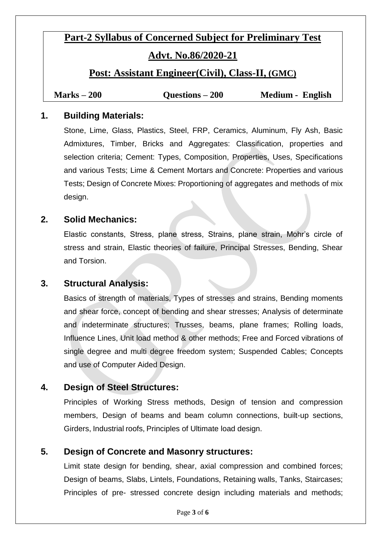# **Part-2 Syllabus of Concerned Subject for Preliminary Test**

### **Advt. No.86/2020-21**

#### **Post: Assistant Engineer(Civil), Class-II, (GMC)**

| Marks $-200$ | Questions $-200$ | <b>Medium - English</b> |
|--------------|------------------|-------------------------|
|--------------|------------------|-------------------------|

#### **1. Building Materials:**

Stone, Lime, Glass, Plastics, Steel, FRP, Ceramics, Aluminum, Fly Ash, Basic Admixtures, Timber, Bricks and Aggregates: Classification, properties and selection criteria; Cement: Types, Composition, Properties, Uses, Specifications and various Tests; Lime & Cement Mortars and Concrete: Properties and various Tests; Design of Concrete Mixes: Proportioning of aggregates and methods of mix design.

#### **2. Solid Mechanics:**

Elastic constants, Stress, plane stress, Strains, plane strain, Mohr's circle of stress and strain, Elastic theories of failure, Principal Stresses, Bending, Shear and Torsion.

#### **3. Structural Analysis:**

Basics of strength of materials, Types of stresses and strains, Bending moments and shear force, concept of bending and shear stresses; Analysis of determinate and indeterminate structures; Trusses, beams, plane frames; Rolling loads, Influence Lines, Unit load method & other methods; Free and Forced vibrations of single degree and multi degree freedom system; Suspended Cables; Concepts and use of Computer Aided Design.

#### **4. Design of Steel Structures:**

Principles of Working Stress methods, Design of tension and compression members, Design of beams and beam column connections, built-up sections, Girders, Industrial roofs, Principles of Ultimate load design.

#### **5. Design of Concrete and Masonry structures:**

Limit state design for bending, shear, axial compression and combined forces; Design of beams, Slabs, Lintels, Foundations, Retaining walls, Tanks, Staircases; Principles of pre- stressed concrete design including materials and methods;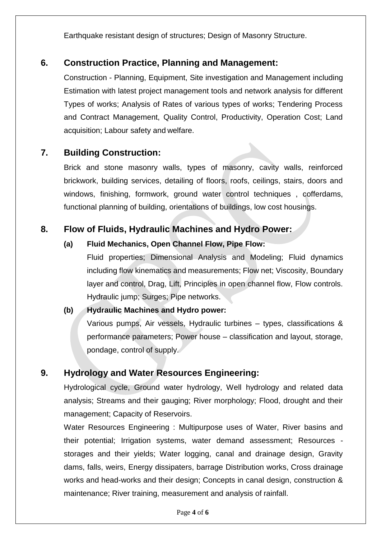Earthquake resistant design of structures; Design of Masonry Structure.

#### **6. Construction Practice, Planning and Management:**

Construction - Planning, Equipment, Site investigation and Management including Estimation with latest project management tools and network analysis for different Types of works; Analysis of Rates of various types of works; Tendering Process and Contract Management, Quality Control, Productivity, Operation Cost; Land acquisition; Labour safety and welfare.

#### **7. Building Construction:**

Brick and stone masonry walls, types of masonry, cavity walls, reinforced brickwork, building services, detailing of floors, roofs, ceilings, stairs, doors and windows, finishing, formwork, ground water control techniques , cofferdams, functional planning of building, orientations of buildings, low cost housings.

#### **8. Flow of Fluids, Hydraulic Machines and Hydro Power:**

#### **(a) Fluid Mechanics, Open Channel Flow, Pipe Flow:**

Fluid properties; Dimensional Analysis and Modeling; Fluid dynamics including flow kinematics and measurements; Flow net; Viscosity, Boundary layer and control, Drag, Lift, Principles in open channel flow, Flow controls. Hydraulic jump; Surges; Pipe networks.

## **(b) Hydraulic Machines and Hydro power:** Various pumps, Air vessels, Hydraulic turbines – types, classifications & performance parameters; Power house – classification and layout, storage,

### **9. Hydrology and Water Resources Engineering:**

pondage, control of supply.

Hydrological cycle, Ground water hydrology, Well hydrology and related data analysis; Streams and their gauging; River morphology; Flood, drought and their management; Capacity of Reservoirs.

Water Resources Engineering : Multipurpose uses of Water, River basins and their potential; Irrigation systems, water demand assessment; Resources storages and their yields; Water logging, canal and drainage design, Gravity dams, falls, weirs, Energy dissipaters, barrage Distribution works, Cross drainage works and head-works and their design; Concepts in canal design, construction & maintenance; River training, measurement and analysis of rainfall.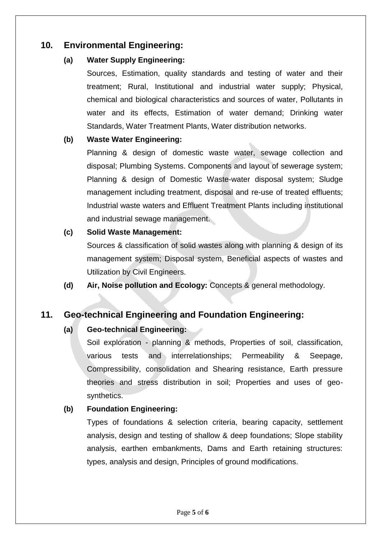#### **10. Environmental Engineering:**

#### **(a) Water Supply Engineering:**

Sources, Estimation, quality standards and testing of water and their treatment; Rural, Institutional and industrial water supply; Physical, chemical and biological characteristics and sources of water, Pollutants in water and its effects, Estimation of water demand; Drinking water Standards, Water Treatment Plants, Water distribution networks.

#### **(b) Waste Water Engineering:**

Planning & design of domestic waste water, sewage collection and disposal; Plumbing Systems. Components and layout of sewerage system; Planning & design of Domestic Waste-water disposal system; Sludge management including treatment, disposal and re-use of treated effluents; Industrial waste waters and Effluent Treatment Plants including institutional and industrial sewage management.

#### **(c) Solid Waste Management:**

Sources & classification of solid wastes along with planning & design of its management system; Disposal system, Beneficial aspects of wastes and Utilization by Civil Engineers.

**(d) Air, Noise pollution and Ecology:** Concepts & general methodology.

#### **11. Geo-technical Engineering and Foundation Engineering:**

#### **(a) Geo-technical Engineering:**

Soil exploration - planning & methods, Properties of soil, classification, various tests and interrelationships; Permeability & Seepage, Compressibility, consolidation and Shearing resistance, Earth pressure theories and stress distribution in soil; Properties and uses of geosynthetics.

#### **(b) Foundation Engineering:**

Types of foundations & selection criteria, bearing capacity, settlement analysis, design and testing of shallow & deep foundations; Slope stability analysis, earthen embankments, Dams and Earth retaining structures: types, analysis and design, Principles of ground modifications.